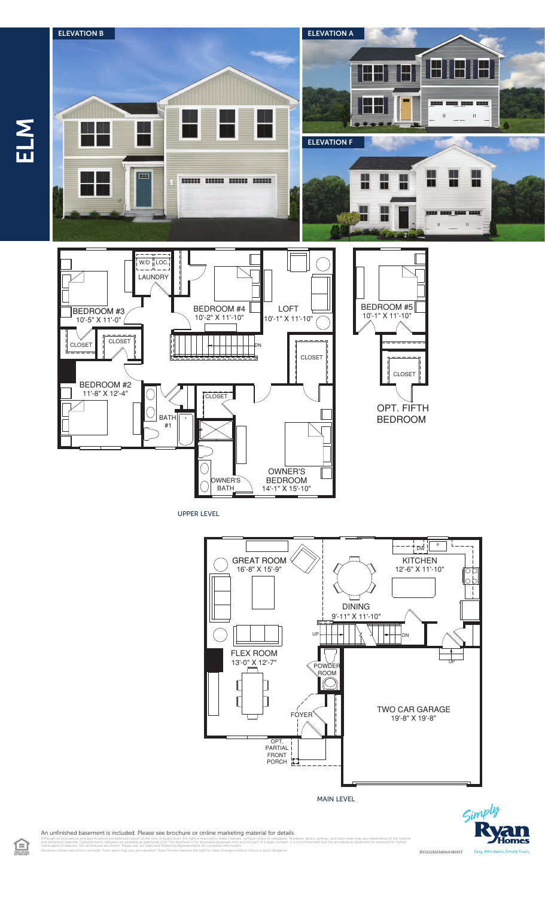

UPPER LEVEL



MAIN LEVEL



An unfinished basement is included. Please see brochure or online marketing material for details.

illustrations and specifications are believed correct at the time of publication, the right is reserved to make changes, without notice or obligation. Windows, doors, cellings, and room sizes may vary depending on the opti clarification of features. Not all features are shown. Please ask our Sales and Marketing Representative for complete information. Elevations shown are artist's concepts. Floor plans may vary per elevation. Ryan Homes reserves the right to make changes without notice or prior obligation.